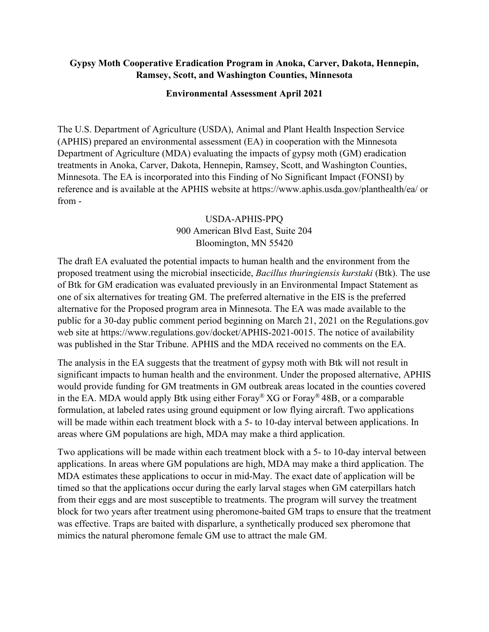## **Gypsy Moth Cooperative Eradication Program in Anoka, Carver, Dakota, Hennepin, Ramsey, Scott, and Washington Counties, Minnesota**

## **Environmental Assessment April 2021**

The U.S. Department of Agriculture (USDA), Animal and Plant Health Inspection Service (APHIS) prepared an environmental assessment (EA) in cooperation with the Minnesota Department of Agriculture (MDA) evaluating the impacts of gypsy moth (GM) eradication treatments in Anoka, Carver, Dakota, Hennepin, Ramsey, Scott, and Washington Counties, Minnesota. The EA is incorporated into this Finding of No Significant Impact (FONSI) by reference and is available at the APHIS website at https://www.aphis.usda.gov/planthealth/ea/ or from -

## USDA-APHIS-PPQ 900 American Blvd East, Suite 204 Bloomington, MN 55420

The draft EA evaluated the potential impacts to human health and the environment from the proposed treatment using the microbial insecticide, *Bacillus thuringiensis kurstaki* (Btk). The use of Btk for GM eradication was evaluated previously in an Environmental Impact Statement as one of six alternatives for treating GM. The preferred alternative in the EIS is the preferred alternative for the Proposed program area in Minnesota. The EA was made available to the public for a 30-day public comment period beginning on March 21, 2021 on the Regulations.gov web site at https://www.regulations.gov/docket/APHIS-2021-0015. The notice of availability was published in the Star Tribune. APHIS and the MDA received no comments on the EA.

The analysis in the EA suggests that the treatment of gypsy moth with Btk will not result in significant impacts to human health and the environment. Under the proposed alternative, APHIS would provide funding for GM treatments in GM outbreak areas located in the counties covered in the EA. MDA would apply Btk using either Foray® XG or Foray® 48B, or a comparable formulation, at labeled rates using ground equipment or low flying aircraft. Two applications will be made within each treatment block with a 5- to 10-day interval between applications. In areas where GM populations are high, MDA may make a third application.

Two applications will be made within each treatment block with a 5- to 10-day interval between applications. In areas where GM populations are high, MDA may make a third application. The MDA estimates these applications to occur in mid-May. The exact date of application will be timed so that the applications occur during the early larval stages when GM caterpillars hatch from their eggs and are most susceptible to treatments. The program will survey the treatment block for two years after treatment using pheromone-baited GM traps to ensure that the treatment was effective. Traps are baited with disparlure, a synthetically produced sex pheromone that mimics the natural pheromone female GM use to attract the male GM.